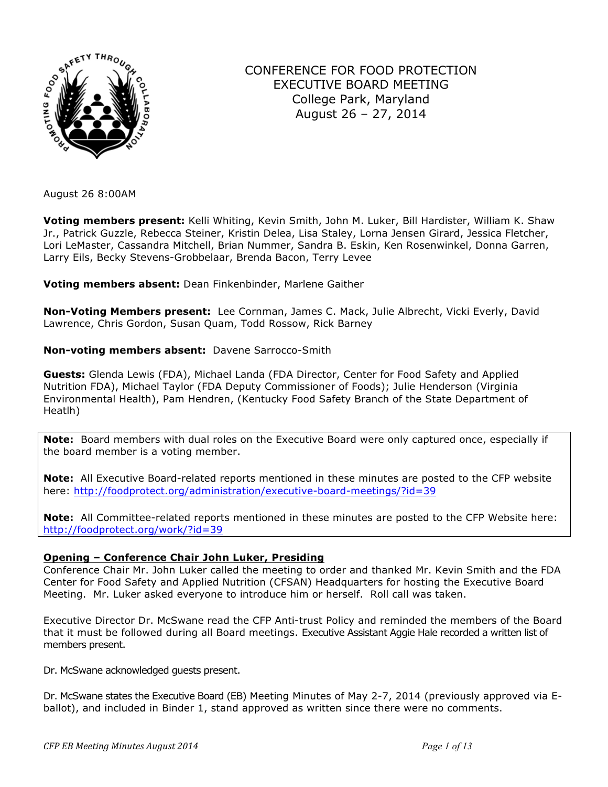

# CONFERENCE FOR FOOD PROTECTION EXECUTIVE BOARD MEETING College Park, Maryland August 26 – 27, 2014

August 26 8:00AM

**Voting members present:** Kelli Whiting, Kevin Smith, John M. Luker, Bill Hardister, William K. Shaw Jr., Patrick Guzzle, Rebecca Steiner, Kristin Delea, Lisa Staley, Lorna Jensen Girard, Jessica Fletcher, Lori LeMaster, Cassandra Mitchell, Brian Nummer, Sandra B. Eskin, Ken Rosenwinkel, Donna Garren, Larry Eils, Becky Stevens-Grobbelaar, Brenda Bacon, Terry Levee

**Voting members absent:** Dean Finkenbinder, Marlene Gaither

**Non-Voting Members present:** Lee Cornman, James C. Mack, Julie Albrecht, Vicki Everly, David Lawrence, Chris Gordon, Susan Quam, Todd Rossow, Rick Barney

# **Non-voting members absent:** Davene Sarrocco-Smith

**Guests:** Glenda Lewis (FDA), Michael Landa (FDA Director, Center for Food Safety and Applied Nutrition FDA), Michael Taylor (FDA Deputy Commissioner of Foods); Julie Henderson (Virginia Environmental Health), Pam Hendren, (Kentucky Food Safety Branch of the State Department of Heatlh)

**Note:** Board members with dual roles on the Executive Board were only captured once, especially if the board member is a voting member.

**Note:** All Executive Board-related reports mentioned in these minutes are posted to the CFP website here: http://foodprotect.org/administration/executive-board-meetings/?id=39

**Note:** All Committee-related reports mentioned in these minutes are posted to the CFP Website here: http://foodprotect.org/work/?id=39

# **Opening – Conference Chair John Luker, Presiding**

Conference Chair Mr. John Luker called the meeting to order and thanked Mr. Kevin Smith and the FDA Center for Food Safety and Applied Nutrition (CFSAN) Headquarters for hosting the Executive Board Meeting. Mr. Luker asked everyone to introduce him or herself. Roll call was taken.

Executive Director Dr. McSwane read the CFP Anti-trust Policy and reminded the members of the Board that it must be followed during all Board meetings. Executive Assistant Aggie Hale recorded a written list of members present.

Dr. McSwane acknowledged guests present.

Dr. McSwane states the Executive Board (EB) Meeting Minutes of May 2-7, 2014 (previously approved via Eballot), and included in Binder 1, stand approved as written since there were no comments.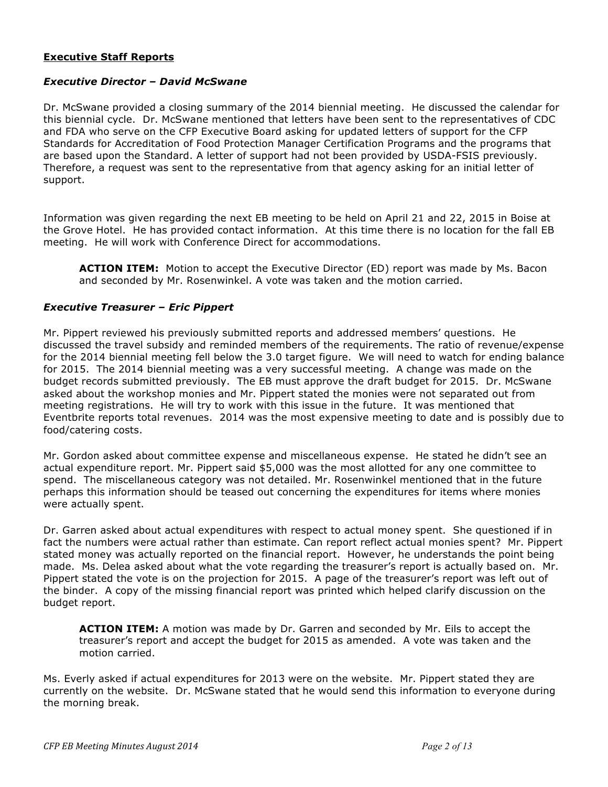# **Executive Staff Reports**

### *Executive Director – David McSwane*

Dr. McSwane provided a closing summary of the 2014 biennial meeting. He discussed the calendar for this biennial cycle. Dr. McSwane mentioned that letters have been sent to the representatives of CDC and FDA who serve on the CFP Executive Board asking for updated letters of support for the CFP Standards for Accreditation of Food Protection Manager Certification Programs and the programs that are based upon the Standard. A letter of support had not been provided by USDA-FSIS previously. Therefore, a request was sent to the representative from that agency asking for an initial letter of support.

Information was given regarding the next EB meeting to be held on April 21 and 22, 2015 in Boise at the Grove Hotel. He has provided contact information. At this time there is no location for the fall EB meeting. He will work with Conference Direct for accommodations.

**ACTION ITEM:** Motion to accept the Executive Director (ED) report was made by Ms. Bacon and seconded by Mr. Rosenwinkel. A vote was taken and the motion carried.

#### *Executive Treasurer – Eric Pippert*

Mr. Pippert reviewed his previously submitted reports and addressed members' questions. He discussed the travel subsidy and reminded members of the requirements. The ratio of revenue/expense for the 2014 biennial meeting fell below the 3.0 target figure. We will need to watch for ending balance for 2015. The 2014 biennial meeting was a very successful meeting. A change was made on the budget records submitted previously. The EB must approve the draft budget for 2015. Dr. McSwane asked about the workshop monies and Mr. Pippert stated the monies were not separated out from meeting registrations. He will try to work with this issue in the future. It was mentioned that Eventbrite reports total revenues. 2014 was the most expensive meeting to date and is possibly due to food/catering costs.

Mr. Gordon asked about committee expense and miscellaneous expense. He stated he didn't see an actual expenditure report. Mr. Pippert said \$5,000 was the most allotted for any one committee to spend. The miscellaneous category was not detailed. Mr. Rosenwinkel mentioned that in the future perhaps this information should be teased out concerning the expenditures for items where monies were actually spent.

Dr. Garren asked about actual expenditures with respect to actual money spent. She questioned if in fact the numbers were actual rather than estimate. Can report reflect actual monies spent? Mr. Pippert stated money was actually reported on the financial report. However, he understands the point being made. Ms. Delea asked about what the vote regarding the treasurer's report is actually based on. Mr. Pippert stated the vote is on the projection for 2015. A page of the treasurer's report was left out of the binder. A copy of the missing financial report was printed which helped clarify discussion on the budget report.

**ACTION ITEM:** A motion was made by Dr. Garren and seconded by Mr. Eils to accept the treasurer's report and accept the budget for 2015 as amended. A vote was taken and the motion carried.

Ms. Everly asked if actual expenditures for 2013 were on the website. Mr. Pippert stated they are currently on the website. Dr. McSwane stated that he would send this information to everyone during the morning break.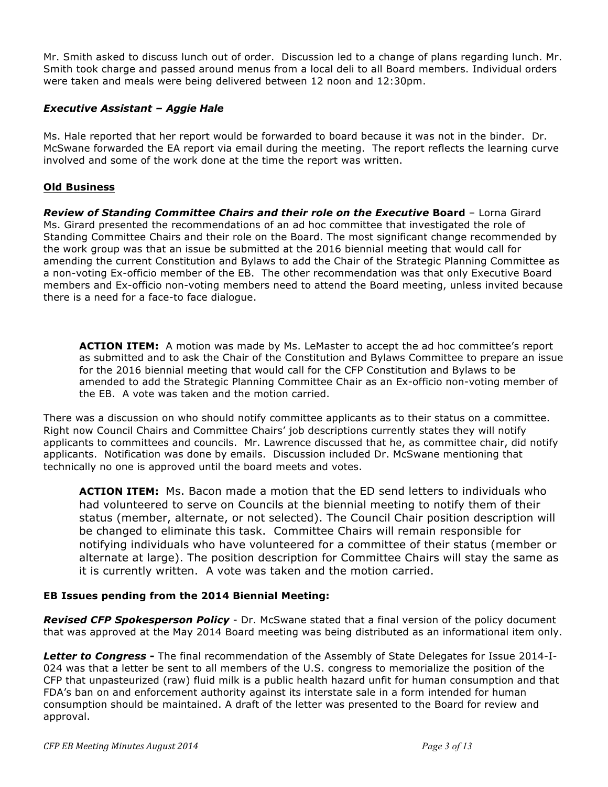Mr. Smith asked to discuss lunch out of order. Discussion led to a change of plans regarding lunch. Mr. Smith took charge and passed around menus from a local deli to all Board members. Individual orders were taken and meals were being delivered between 12 noon and 12:30pm.

# *Executive Assistant – Aggie Hale*

Ms. Hale reported that her report would be forwarded to board because it was not in the binder. Dr. McSwane forwarded the EA report via email during the meeting. The report reflects the learning curve involved and some of the work done at the time the report was written.

# **Old Business**

*Review of Standing Committee Chairs and their role on the Executive* **Board** – Lorna Girard Ms. Girard presented the recommendations of an ad hoc committee that investigated the role of Standing Committee Chairs and their role on the Board. The most significant change recommended by the work group was that an issue be submitted at the 2016 biennial meeting that would call for amending the current Constitution and Bylaws to add the Chair of the Strategic Planning Committee as a non-voting Ex-officio member of the EB. The other recommendation was that only Executive Board members and Ex-officio non-voting members need to attend the Board meeting, unless invited because there is a need for a face-to face dialogue.

**ACTION ITEM:** A motion was made by Ms. LeMaster to accept the ad hoc committee's report as submitted and to ask the Chair of the Constitution and Bylaws Committee to prepare an issue for the 2016 biennial meeting that would call for the CFP Constitution and Bylaws to be amended to add the Strategic Planning Committee Chair as an Ex-officio non-voting member of the EB. A vote was taken and the motion carried.

There was a discussion on who should notify committee applicants as to their status on a committee. Right now Council Chairs and Committee Chairs' job descriptions currently states they will notify applicants to committees and councils. Mr. Lawrence discussed that he, as committee chair, did notify applicants. Notification was done by emails. Discussion included Dr. McSwane mentioning that technically no one is approved until the board meets and votes.

**ACTION ITEM:** Ms. Bacon made a motion that the ED send letters to individuals who had volunteered to serve on Councils at the biennial meeting to notify them of their status (member, alternate, or not selected). The Council Chair position description will be changed to eliminate this task. Committee Chairs will remain responsible for notifying individuals who have volunteered for a committee of their status (member or alternate at large). The position description for Committee Chairs will stay the same as it is currently written. A vote was taken and the motion carried.

### **EB Issues pending from the 2014 Biennial Meeting:**

**Revised CFP Spokesperson Policy** - Dr. McSwane stated that a final version of the policy document that was approved at the May 2014 Board meeting was being distributed as an informational item only.

*Letter to Congress -* The final recommendation of the Assembly of State Delegates for Issue 2014-I-024 was that a letter be sent to all members of the U.S. congress to memorialize the position of the CFP that unpasteurized (raw) fluid milk is a public health hazard unfit for human consumption and that FDA's ban on and enforcement authority against its interstate sale in a form intended for human consumption should be maintained. A draft of the letter was presented to the Board for review and approval.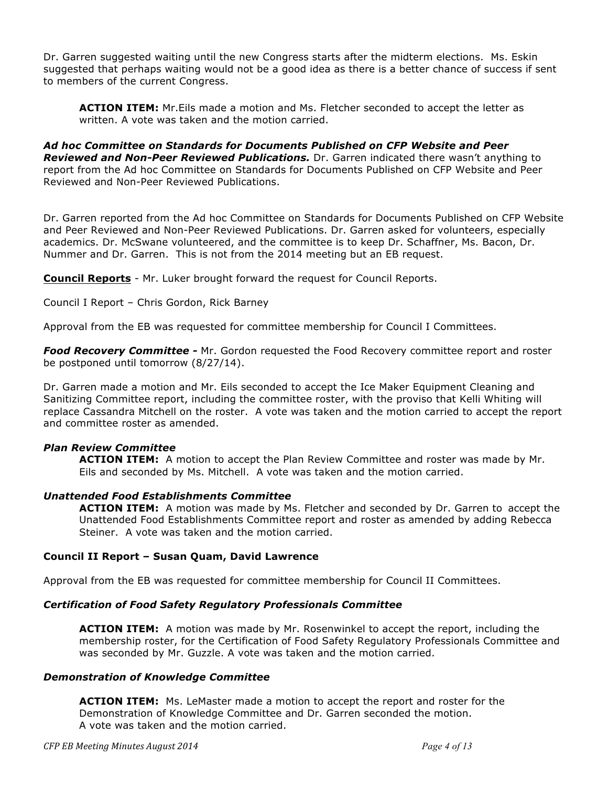Dr. Garren suggested waiting until the new Congress starts after the midterm elections. Ms. Eskin suggested that perhaps waiting would not be a good idea as there is a better chance of success if sent to members of the current Congress.

**ACTION ITEM:** Mr.Eils made a motion and Ms. Fletcher seconded to accept the letter as written. A vote was taken and the motion carried.

*Ad hoc Committee on Standards for Documents Published on CFP Website and Peer Reviewed and Non-Peer Reviewed Publications.* Dr. Garren indicated there wasn't anything to report from the Ad hoc Committee on Standards for Documents Published on CFP Website and Peer Reviewed and Non-Peer Reviewed Publications.

Dr. Garren reported from the Ad hoc Committee on Standards for Documents Published on CFP Website and Peer Reviewed and Non-Peer Reviewed Publications. Dr. Garren asked for volunteers, especially academics. Dr. McSwane volunteered, and the committee is to keep Dr. Schaffner, Ms. Bacon, Dr. Nummer and Dr. Garren. This is not from the 2014 meeting but an EB request.

**Council Reports** - Mr. Luker brought forward the request for Council Reports.

Council I Report – Chris Gordon, Rick Barney

Approval from the EB was requested for committee membership for Council I Committees.

*Food Recovery Committee -* Mr. Gordon requested the Food Recovery committee report and roster be postponed until tomorrow (8/27/14).

Dr. Garren made a motion and Mr. Eils seconded to accept the Ice Maker Equipment Cleaning and Sanitizing Committee report, including the committee roster, with the proviso that Kelli Whiting will replace Cassandra Mitchell on the roster. A vote was taken and the motion carried to accept the report and committee roster as amended.

### *Plan Review Committee*

**ACTION ITEM:** A motion to accept the Plan Review Committee and roster was made by Mr. Eils and seconded by Ms. Mitchell. A vote was taken and the motion carried.

#### *Unattended Food Establishments Committee*

**ACTION ITEM:** A motion was made by Ms. Fletcher and seconded by Dr. Garren to accept the Unattended Food Establishments Committee report and roster as amended by adding Rebecca Steiner. A vote was taken and the motion carried.

#### **Council II Report – Susan Quam, David Lawrence**

Approval from the EB was requested for committee membership for Council II Committees.

### *Certification of Food Safety Regulatory Professionals Committee*

**ACTION ITEM:** A motion was made by Mr. Rosenwinkel to accept the report, including the membership roster, for the Certification of Food Safety Regulatory Professionals Committee and was seconded by Mr. Guzzle. A vote was taken and the motion carried.

#### *Demonstration of Knowledge Committee*

**ACTION ITEM:** Ms. LeMaster made a motion to accept the report and roster for the Demonstration of Knowledge Committee and Dr. Garren seconded the motion. A vote was taken and the motion carried.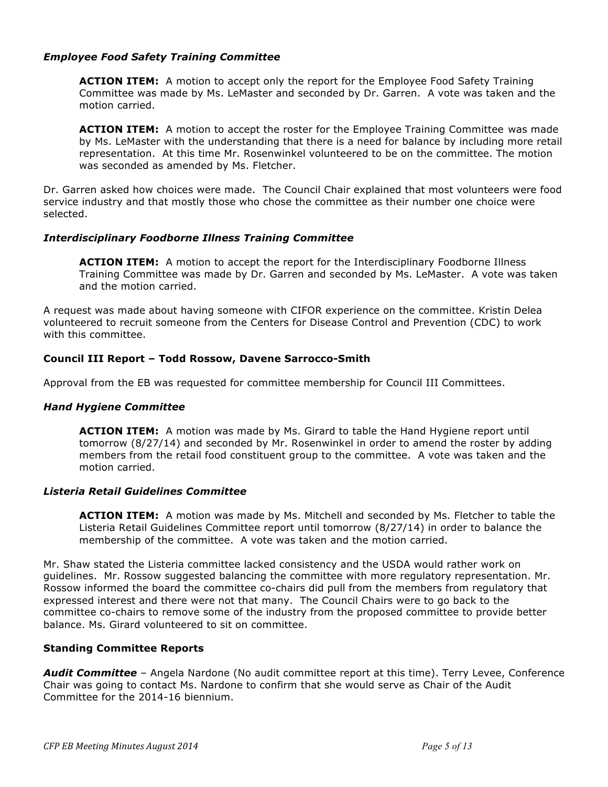### *Employee Food Safety Training Committee*

**ACTION ITEM:** A motion to accept only the report for the Employee Food Safety Training Committee was made by Ms. LeMaster and seconded by Dr. Garren. A vote was taken and the motion carried.

**ACTION ITEM:** A motion to accept the roster for the Employee Training Committee was made by Ms. LeMaster with the understanding that there is a need for balance by including more retail representation. At this time Mr. Rosenwinkel volunteered to be on the committee. The motion was seconded as amended by Ms. Fletcher.

Dr. Garren asked how choices were made. The Council Chair explained that most volunteers were food service industry and that mostly those who chose the committee as their number one choice were selected.

### *Interdisciplinary Foodborne Illness Training Committee*

**ACTION ITEM:** A motion to accept the report for the Interdisciplinary Foodborne Illness Training Committee was made by Dr. Garren and seconded by Ms. LeMaster. A vote was taken and the motion carried.

A request was made about having someone with CIFOR experience on the committee. Kristin Delea volunteered to recruit someone from the Centers for Disease Control and Prevention (CDC) to work with this committee.

# **Council III Report – Todd Rossow, Davene Sarrocco-Smith**

Approval from the EB was requested for committee membership for Council III Committees.

### *Hand Hygiene Committee*

**ACTION ITEM:** A motion was made by Ms. Girard to table the Hand Hygiene report until tomorrow (8/27/14) and seconded by Mr. Rosenwinkel in order to amend the roster by adding members from the retail food constituent group to the committee. A vote was taken and the motion carried.

### *Listeria Retail Guidelines Committee*

**ACTION ITEM:** A motion was made by Ms. Mitchell and seconded by Ms. Fletcher to table the Listeria Retail Guidelines Committee report until tomorrow (8/27/14) in order to balance the membership of the committee. A vote was taken and the motion carried.

Mr. Shaw stated the Listeria committee lacked consistency and the USDA would rather work on guidelines. Mr. Rossow suggested balancing the committee with more regulatory representation. Mr. Rossow informed the board the committee co-chairs did pull from the members from regulatory that expressed interest and there were not that many. The Council Chairs were to go back to the committee co-chairs to remove some of the industry from the proposed committee to provide better balance. Ms. Girard volunteered to sit on committee.

### **Standing Committee Reports**

Audit Committee - Angela Nardone (No audit committee report at this time). Terry Levee, Conference Chair was going to contact Ms. Nardone to confirm that she would serve as Chair of the Audit Committee for the 2014-16 biennium.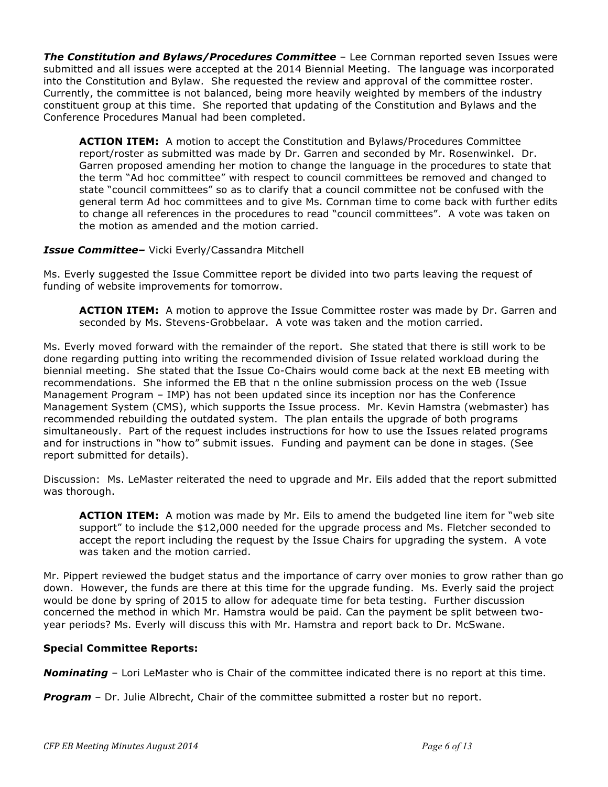*The Constitution and Bylaws/Procedures Committee* – Lee Cornman reported seven Issues were submitted and all issues were accepted at the 2014 Biennial Meeting. The language was incorporated into the Constitution and Bylaw. She requested the review and approval of the committee roster. Currently, the committee is not balanced, being more heavily weighted by members of the industry constituent group at this time. She reported that updating of the Constitution and Bylaws and the Conference Procedures Manual had been completed.

**ACTION ITEM:** A motion to accept the Constitution and Bylaws/Procedures Committee report/roster as submitted was made by Dr. Garren and seconded by Mr. Rosenwinkel. Dr. Garren proposed amending her motion to change the language in the procedures to state that the term "Ad hoc committee" with respect to council committees be removed and changed to state "council committees" so as to clarify that a council committee not be confused with the general term Ad hoc committees and to give Ms. Cornman time to come back with further edits to change all references in the procedures to read "council committees". A vote was taken on the motion as amended and the motion carried.

### *Issue Committee–* Vicki Everly/Cassandra Mitchell

Ms. Everly suggested the Issue Committee report be divided into two parts leaving the request of funding of website improvements for tomorrow.

**ACTION ITEM:** A motion to approve the Issue Committee roster was made by Dr. Garren and seconded by Ms. Stevens-Grobbelaar. A vote was taken and the motion carried.

Ms. Everly moved forward with the remainder of the report. She stated that there is still work to be done regarding putting into writing the recommended division of Issue related workload during the biennial meeting. She stated that the Issue Co-Chairs would come back at the next EB meeting with recommendations. She informed the EB that n the online submission process on the web (Issue Management Program – IMP) has not been updated since its inception nor has the Conference Management System (CMS), which supports the Issue process. Mr. Kevin Hamstra (webmaster) has recommended rebuilding the outdated system. The plan entails the upgrade of both programs simultaneously. Part of the request includes instructions for how to use the Issues related programs and for instructions in "how to" submit issues. Funding and payment can be done in stages. (See report submitted for details).

Discussion: Ms. LeMaster reiterated the need to upgrade and Mr. Eils added that the report submitted was thorough.

**ACTION ITEM:** A motion was made by Mr. Eils to amend the budgeted line item for "web site support" to include the \$12,000 needed for the upgrade process and Ms. Fletcher seconded to accept the report including the request by the Issue Chairs for upgrading the system. A vote was taken and the motion carried.

Mr. Pippert reviewed the budget status and the importance of carry over monies to grow rather than go down. However, the funds are there at this time for the upgrade funding. Ms. Everly said the project would be done by spring of 2015 to allow for adequate time for beta testing. Further discussion concerned the method in which Mr. Hamstra would be paid. Can the payment be split between twoyear periods? Ms. Everly will discuss this with Mr. Hamstra and report back to Dr. McSwane.

### **Special Committee Reports:**

*Nominating* – Lori LeMaster who is Chair of the committee indicated there is no report at this time.

**Program** – Dr. Julie Albrecht, Chair of the committee submitted a roster but no report.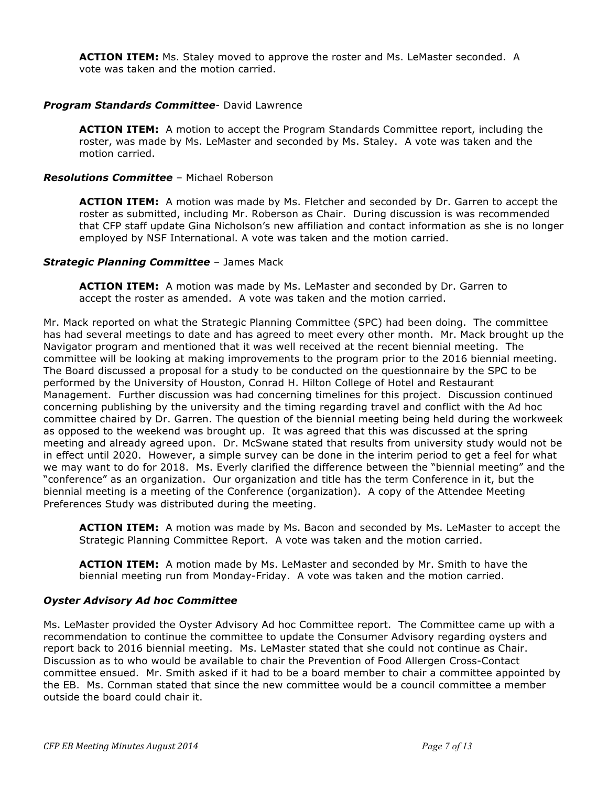**ACTION ITEM:** Ms. Staley moved to approve the roster and Ms. LeMaster seconded. A vote was taken and the motion carried.

### *Program Standards Committee*- David Lawrence

**ACTION ITEM:** A motion to accept the Program Standards Committee report, including the roster, was made by Ms. LeMaster and seconded by Ms. Staley. A vote was taken and the motion carried.

#### *Resolutions Committee* – Michael Roberson

**ACTION ITEM:** A motion was made by Ms. Fletcher and seconded by Dr. Garren to accept the roster as submitted, including Mr. Roberson as Chair. During discussion is was recommended that CFP staff update Gina Nicholson's new affiliation and contact information as she is no longer employed by NSF International. A vote was taken and the motion carried.

#### *Strategic Planning Committee* – James Mack

**ACTION ITEM:** A motion was made by Ms. LeMaster and seconded by Dr. Garren to accept the roster as amended. A vote was taken and the motion carried.

Mr. Mack reported on what the Strategic Planning Committee (SPC) had been doing. The committee has had several meetings to date and has agreed to meet every other month. Mr. Mack brought up the Navigator program and mentioned that it was well received at the recent biennial meeting. The committee will be looking at making improvements to the program prior to the 2016 biennial meeting. The Board discussed a proposal for a study to be conducted on the questionnaire by the SPC to be performed by the University of Houston, Conrad H. Hilton College of Hotel and Restaurant Management. Further discussion was had concerning timelines for this project. Discussion continued concerning publishing by the university and the timing regarding travel and conflict with the Ad hoc committee chaired by Dr. Garren. The question of the biennial meeting being held during the workweek as opposed to the weekend was brought up. It was agreed that this was discussed at the spring meeting and already agreed upon. Dr. McSwane stated that results from university study would not be in effect until 2020. However, a simple survey can be done in the interim period to get a feel for what we may want to do for 2018. Ms. Everly clarified the difference between the "biennial meeting" and the "conference" as an organization. Our organization and title has the term Conference in it, but the biennial meeting is a meeting of the Conference (organization). A copy of the Attendee Meeting Preferences Study was distributed during the meeting.

**ACTION ITEM:** A motion was made by Ms. Bacon and seconded by Ms. LeMaster to accept the Strategic Planning Committee Report. A vote was taken and the motion carried.

**ACTION ITEM:** A motion made by Ms. LeMaster and seconded by Mr. Smith to have the biennial meeting run from Monday-Friday. A vote was taken and the motion carried.

#### *Oyster Advisory Ad hoc Committee*

Ms. LeMaster provided the Oyster Advisory Ad hoc Committee report. The Committee came up with a recommendation to continue the committee to update the Consumer Advisory regarding oysters and report back to 2016 biennial meeting. Ms. LeMaster stated that she could not continue as Chair. Discussion as to who would be available to chair the Prevention of Food Allergen Cross-Contact committee ensued. Mr. Smith asked if it had to be a board member to chair a committee appointed by the EB. Ms. Cornman stated that since the new committee would be a council committee a member outside the board could chair it.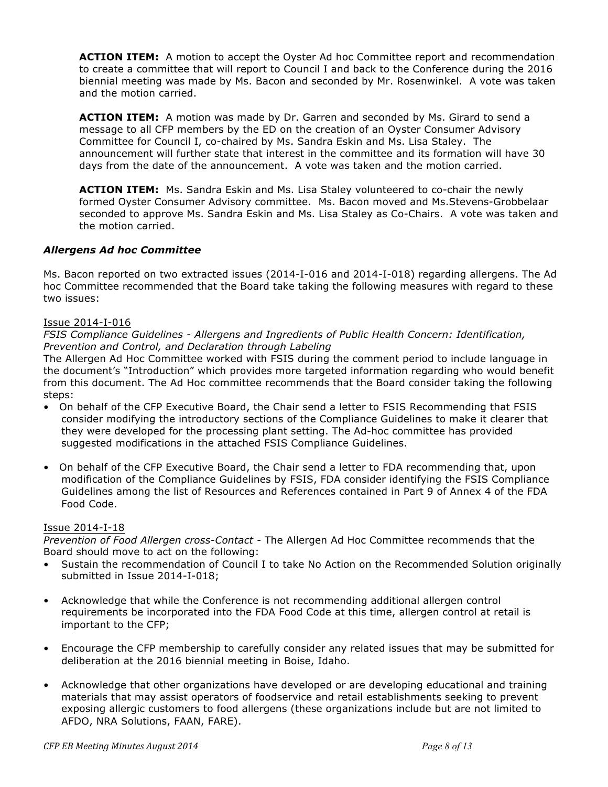**ACTION ITEM:** A motion to accept the Oyster Ad hoc Committee report and recommendation to create a committee that will report to Council I and back to the Conference during the 2016 biennial meeting was made by Ms. Bacon and seconded by Mr. Rosenwinkel. A vote was taken and the motion carried.

**ACTION ITEM:** A motion was made by Dr. Garren and seconded by Ms. Girard to send a message to all CFP members by the ED on the creation of an Oyster Consumer Advisory Committee for Council I, co-chaired by Ms. Sandra Eskin and Ms. Lisa Staley. The announcement will further state that interest in the committee and its formation will have 30 days from the date of the announcement. A vote was taken and the motion carried.

**ACTION ITEM:** Ms. Sandra Eskin and Ms. Lisa Staley volunteered to co-chair the newly formed Oyster Consumer Advisory committee. Ms. Bacon moved and Ms.Stevens-Grobbelaar seconded to approve Ms. Sandra Eskin and Ms. Lisa Staley as Co-Chairs. A vote was taken and the motion carried.

# *Allergens Ad hoc Committee*

Ms. Bacon reported on two extracted issues (2014-I-016 and 2014-I-018) regarding allergens. The Ad hoc Committee recommended that the Board take taking the following measures with regard to these two issues:

### Issue 2014-I-016

*FSIS Compliance Guidelines - Allergens and Ingredients of Public Health Concern: Identification, Prevention and Control, and Declaration through Labeling*

The Allergen Ad Hoc Committee worked with FSIS during the comment period to include language in the document's "Introduction" which provides more targeted information regarding who would benefit from this document. The Ad Hoc committee recommends that the Board consider taking the following steps:

- On behalf of the CFP Executive Board, the Chair send a letter to FSIS Recommending that FSIS consider modifying the introductory sections of the Compliance Guidelines to make it clearer that they were developed for the processing plant setting. The Ad-hoc committee has provided suggested modifications in the attached FSIS Compliance Guidelines.
- On behalf of the CFP Executive Board, the Chair send a letter to FDA recommending that, upon modification of the Compliance Guidelines by FSIS, FDA consider identifying the FSIS Compliance Guidelines among the list of Resources and References contained in Part 9 of Annex 4 of the FDA Food Code.

### Issue 2014-I-18

*Prevention of Food Allergen cross-Contact -* The Allergen Ad Hoc Committee recommends that the Board should move to act on the following:

- Sustain the recommendation of Council I to take No Action on the Recommended Solution originally submitted in Issue 2014-I-018;
- Acknowledge that while the Conference is not recommending additional allergen control requirements be incorporated into the FDA Food Code at this time, allergen control at retail is important to the CFP;
- Encourage the CFP membership to carefully consider any related issues that may be submitted for deliberation at the 2016 biennial meeting in Boise, Idaho.
- Acknowledge that other organizations have developed or are developing educational and training materials that may assist operators of foodservice and retail establishments seeking to prevent exposing allergic customers to food allergens (these organizations include but are not limited to AFDO, NRA Solutions, FAAN, FARE).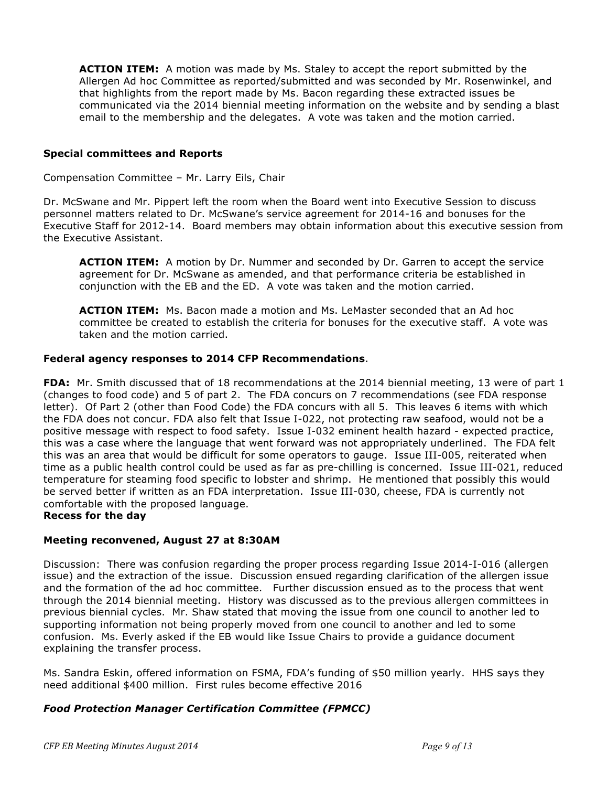**ACTION ITEM:** A motion was made by Ms. Staley to accept the report submitted by the Allergen Ad hoc Committee as reported/submitted and was seconded by Mr. Rosenwinkel, and that highlights from the report made by Ms. Bacon regarding these extracted issues be communicated via the 2014 biennial meeting information on the website and by sending a blast email to the membership and the delegates. A vote was taken and the motion carried.

### **Special committees and Reports**

Compensation Committee – Mr. Larry Eils, Chair

Dr. McSwane and Mr. Pippert left the room when the Board went into Executive Session to discuss personnel matters related to Dr. McSwane's service agreement for 2014-16 and bonuses for the Executive Staff for 2012-14. Board members may obtain information about this executive session from the Executive Assistant.

**ACTION ITEM:** A motion by Dr. Nummer and seconded by Dr. Garren to accept the service agreement for Dr. McSwane as amended, and that performance criteria be established in conjunction with the EB and the ED. A vote was taken and the motion carried.

**ACTION ITEM:** Ms. Bacon made a motion and Ms. LeMaster seconded that an Ad hoc committee be created to establish the criteria for bonuses for the executive staff. A vote was taken and the motion carried.

### **Federal agency responses to 2014 CFP Recommendations**.

**FDA:** Mr. Smith discussed that of 18 recommendations at the 2014 biennial meeting, 13 were of part 1 (changes to food code) and 5 of part 2. The FDA concurs on 7 recommendations (see FDA response letter). Of Part 2 (other than Food Code) the FDA concurs with all 5. This leaves 6 items with which the FDA does not concur. FDA also felt that Issue I-022, not protecting raw seafood, would not be a positive message with respect to food safety. Issue I-032 eminent health hazard - expected practice, this was a case where the language that went forward was not appropriately underlined. The FDA felt this was an area that would be difficult for some operators to gauge. Issue III-005, reiterated when time as a public health control could be used as far as pre-chilling is concerned. Issue III-021, reduced temperature for steaming food specific to lobster and shrimp. He mentioned that possibly this would be served better if written as an FDA interpretation. Issue III-030, cheese, FDA is currently not comfortable with the proposed language.

### **Recess for the day**

### **Meeting reconvened, August 27 at 8:30AM**

Discussion: There was confusion regarding the proper process regarding Issue 2014-I-016 (allergen issue) and the extraction of the issue. Discussion ensued regarding clarification of the allergen issue and the formation of the ad hoc committee. Further discussion ensued as to the process that went through the 2014 biennial meeting. History was discussed as to the previous allergen committees in previous biennial cycles. Mr. Shaw stated that moving the issue from one council to another led to supporting information not being properly moved from one council to another and led to some confusion. Ms. Everly asked if the EB would like Issue Chairs to provide a guidance document explaining the transfer process.

Ms. Sandra Eskin, offered information on FSMA, FDA's funding of \$50 million yearly. HHS says they need additional \$400 million. First rules become effective 2016

### *Food Protection Manager Certification Committee (FPMCC)*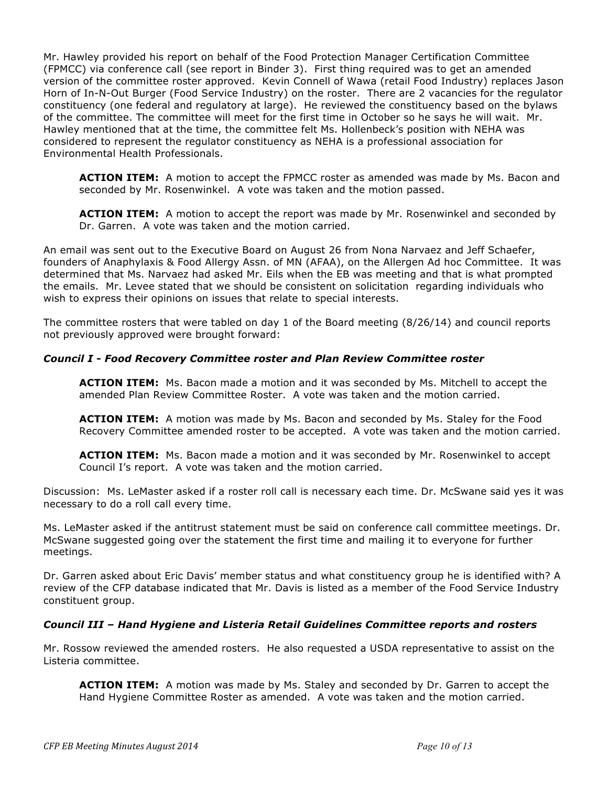Mr. Hawley provided his report on behalf of the Food Protection Manager Certification Committee (FPMCC) via conference call (see report in Binder 3). First thing required was to get an amended version of the committee roster approved. Kevin Connell of Wawa (retail Food Industry) replaces Jason Horn of In-N-Out Burger (Food Service Industry) on the roster. There are 2 vacancies for the regulator constituency (one federal and regulatory at large). He reviewed the constituency based on the bylaws of the committee. The committee will meet for the first time in October so he says he will wait. Mr. Hawley mentioned that at the time, the committee felt Ms. Hollenbeck's position with NEHA was considered to represent the regulator constituency as NEHA is a professional association for Environmental Health Professionals.

**ACTION ITEM:** A motion to accept the FPMCC roster as amended was made by Ms. Bacon and seconded by Mr. Rosenwinkel. A vote was taken and the motion passed.

**ACTION ITEM:** A motion to accept the report was made by Mr. Rosenwinkel and seconded by Dr. Garren. A vote was taken and the motion carried.

An email was sent out to the Executive Board on August 26 from Nona Narvaez and Jeff Schaefer, founders of Anaphylaxis & Food Allergy Assn. of MN (AFAA), on the Allergen Ad hoc Committee. It was determined that Ms. Narvaez had asked Mr. Eils when the EB was meeting and that is what prompted the emails. Mr. Levee stated that we should be consistent on solicitation regarding individuals who wish to express their opinions on issues that relate to special interests.

The committee rosters that were tabled on day 1 of the Board meeting (8/26/14) and council reports not previously approved were brought forward:

### *Council I - Food Recovery Committee roster and Plan Review Committee roster*

**ACTION ITEM:** Ms. Bacon made a motion and it was seconded by Ms. Mitchell to accept the amended Plan Review Committee Roster. A vote was taken and the motion carried.

**ACTION ITEM:** A motion was made by Ms. Bacon and seconded by Ms. Staley for the Food Recovery Committee amended roster to be accepted. A vote was taken and the motion carried.

**ACTION ITEM:** Ms. Bacon made a motion and it was seconded by Mr. Rosenwinkel to accept Council I's report. A vote was taken and the motion carried.

Discussion: Ms. LeMaster asked if a roster roll call is necessary each time. Dr. McSwane said yes it was necessary to do a roll call every time.

Ms. LeMaster asked if the antitrust statement must be said on conference call committee meetings. Dr. McSwane suggested going over the statement the first time and mailing it to everyone for further meetings.

Dr. Garren asked about Eric Davis' member status and what constituency group he is identified with? A review of the CFP database indicated that Mr. Davis is listed as a member of the Food Service Industry constituent group.

### *Council III – Hand Hygiene and Listeria Retail Guidelines Committee reports and rosters*

Mr. Rossow reviewed the amended rosters. He also requested a USDA representative to assist on the Listeria committee.

**ACTION ITEM:** A motion was made by Ms. Staley and seconded by Dr. Garren to accept the Hand Hygiene Committee Roster as amended. A vote was taken and the motion carried.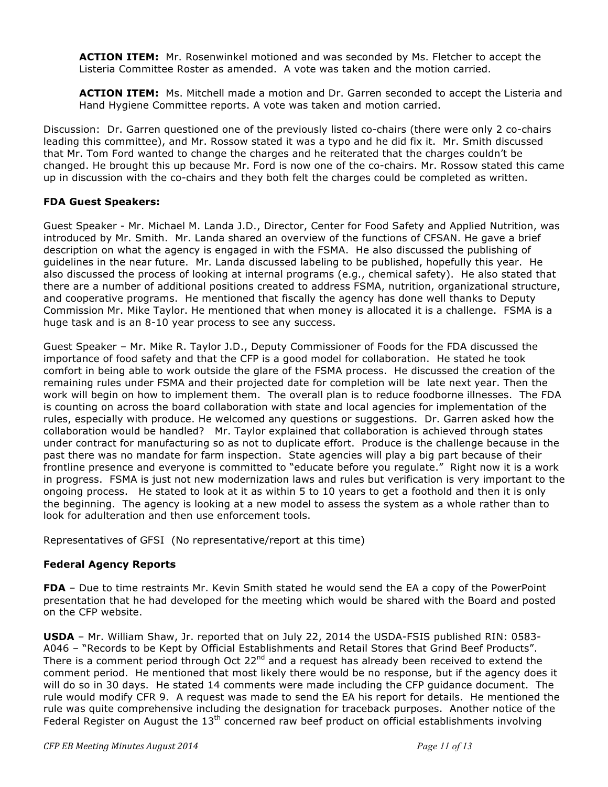**ACTION ITEM:** Mr. Rosenwinkel motioned and was seconded by Ms. Fletcher to accept the Listeria Committee Roster as amended. A vote was taken and the motion carried.

**ACTION ITEM:** Ms. Mitchell made a motion and Dr. Garren seconded to accept the Listeria and Hand Hygiene Committee reports. A vote was taken and motion carried.

Discussion: Dr. Garren questioned one of the previously listed co-chairs (there were only 2 co-chairs leading this committee), and Mr. Rossow stated it was a typo and he did fix it. Mr. Smith discussed that Mr. Tom Ford wanted to change the charges and he reiterated that the charges couldn't be changed. He brought this up because Mr. Ford is now one of the co-chairs. Mr. Rossow stated this came up in discussion with the co-chairs and they both felt the charges could be completed as written.

# **FDA Guest Speakers:**

Guest Speaker - Mr. Michael M. Landa J.D., Director, Center for Food Safety and Applied Nutrition, was introduced by Mr. Smith. Mr. Landa shared an overview of the functions of CFSAN. He gave a brief description on what the agency is engaged in with the FSMA. He also discussed the publishing of guidelines in the near future. Mr. Landa discussed labeling to be published, hopefully this year. He also discussed the process of looking at internal programs (e.g., chemical safety). He also stated that there are a number of additional positions created to address FSMA, nutrition, organizational structure, and cooperative programs. He mentioned that fiscally the agency has done well thanks to Deputy Commission Mr. Mike Taylor. He mentioned that when money is allocated it is a challenge. FSMA is a huge task and is an 8-10 year process to see any success.

Guest Speaker – Mr. Mike R. Taylor J.D., Deputy Commissioner of Foods for the FDA discussed the importance of food safety and that the CFP is a good model for collaboration. He stated he took comfort in being able to work outside the glare of the FSMA process. He discussed the creation of the remaining rules under FSMA and their projected date for completion will be late next year. Then the work will begin on how to implement them. The overall plan is to reduce foodborne illnesses. The FDA is counting on across the board collaboration with state and local agencies for implementation of the rules, especially with produce. He welcomed any questions or suggestions. Dr. Garren asked how the collaboration would be handled? Mr. Taylor explained that collaboration is achieved through states under contract for manufacturing so as not to duplicate effort. Produce is the challenge because in the past there was no mandate for farm inspection. State agencies will play a big part because of their frontline presence and everyone is committed to "educate before you regulate." Right now it is a work in progress. FSMA is just not new modernization laws and rules but verification is very important to the ongoing process. He stated to look at it as within 5 to 10 years to get a foothold and then it is only the beginning. The agency is looking at a new model to assess the system as a whole rather than to look for adulteration and then use enforcement tools.

Representatives of GFSI (No representative/report at this time)

### **Federal Agency Reports**

**FDA** – Due to time restraints Mr. Kevin Smith stated he would send the EA a copy of the PowerPoint presentation that he had developed for the meeting which would be shared with the Board and posted on the CFP website.

**USDA** – Mr. William Shaw, Jr. reported that on July 22, 2014 the USDA-FSIS published RIN: 0583- A046 – "Records to be Kept by Official Establishments and Retail Stores that Grind Beef Products". There is a comment period through Oct  $22^{nd}$  and a request has already been received to extend the comment period. He mentioned that most likely there would be no response, but if the agency does it will do so in 30 days. He stated 14 comments were made including the CFP guidance document. The rule would modify CFR 9. A request was made to send the EA his report for details. He mentioned the rule was quite comprehensive including the designation for traceback purposes. Another notice of the Federal Register on August the  $13<sup>th</sup>$  concerned raw beef product on official establishments involving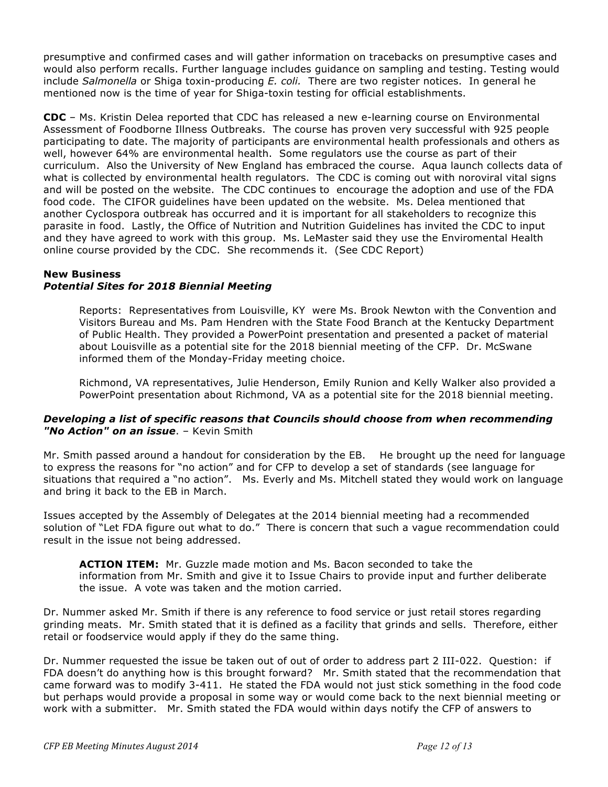presumptive and confirmed cases and will gather information on tracebacks on presumptive cases and would also perform recalls. Further language includes guidance on sampling and testing. Testing would include *Salmonella* or Shiga toxin-producing *E. coli.* There are two register notices. In general he mentioned now is the time of year for Shiga-toxin testing for official establishments.

**CDC** – Ms. Kristin Delea reported that CDC has released a new e-learning course on Environmental Assessment of Foodborne Illness Outbreaks. The course has proven very successful with 925 people participating to date. The majority of participants are environmental health professionals and others as well, however 64% are environmental health. Some regulators use the course as part of their curriculum. Also the University of New England has embraced the course. Aqua launch collects data of what is collected by environmental health regulators. The CDC is coming out with noroviral vital signs and will be posted on the website. The CDC continues to encourage the adoption and use of the FDA food code. The CIFOR guidelines have been updated on the website. Ms. Delea mentioned that another Cyclospora outbreak has occurred and it is important for all stakeholders to recognize this parasite in food. Lastly, the Office of Nutrition and Nutrition Guidelines has invited the CDC to input and they have agreed to work with this group. Ms. LeMaster said they use the Enviromental Health online course provided by the CDC. She recommends it. (See CDC Report)

# **New Business**

# *Potential Sites for 2018 Biennial Meeting*

Reports: Representatives from Louisville, KY were Ms. Brook Newton with the Convention and Visitors Bureau and Ms. Pam Hendren with the State Food Branch at the Kentucky Department of Public Health. They provided a PowerPoint presentation and presented a packet of material about Louisville as a potential site for the 2018 biennial meeting of the CFP. Dr. McSwane informed them of the Monday-Friday meeting choice.

Richmond, VA representatives, Julie Henderson, Emily Runion and Kelly Walker also provided a PowerPoint presentation about Richmond, VA as a potential site for the 2018 biennial meeting.

### *Developing a list of specific reasons that Councils should choose from when recommending "No Action" on an issue*. – Kevin Smith

Mr. Smith passed around a handout for consideration by the EB. He brought up the need for language to express the reasons for "no action" and for CFP to develop a set of standards (see language for situations that required a "no action". Ms. Everly and Ms. Mitchell stated they would work on language and bring it back to the EB in March.

Issues accepted by the Assembly of Delegates at the 2014 biennial meeting had a recommended solution of "Let FDA figure out what to do." There is concern that such a vague recommendation could result in the issue not being addressed.

**ACTION ITEM:** Mr. Guzzle made motion and Ms. Bacon seconded to take the information from Mr. Smith and give it to Issue Chairs to provide input and further deliberate the issue. A vote was taken and the motion carried.

Dr. Nummer asked Mr. Smith if there is any reference to food service or just retail stores regarding grinding meats. Mr. Smith stated that it is defined as a facility that grinds and sells. Therefore, either retail or foodservice would apply if they do the same thing.

Dr. Nummer requested the issue be taken out of out of order to address part 2 III-022. Question: if FDA doesn't do anything how is this brought forward? Mr. Smith stated that the recommendation that came forward was to modify 3-411. He stated the FDA would not just stick something in the food code but perhaps would provide a proposal in some way or would come back to the next biennial meeting or work with a submitter. Mr. Smith stated the FDA would within days notify the CFP of answers to